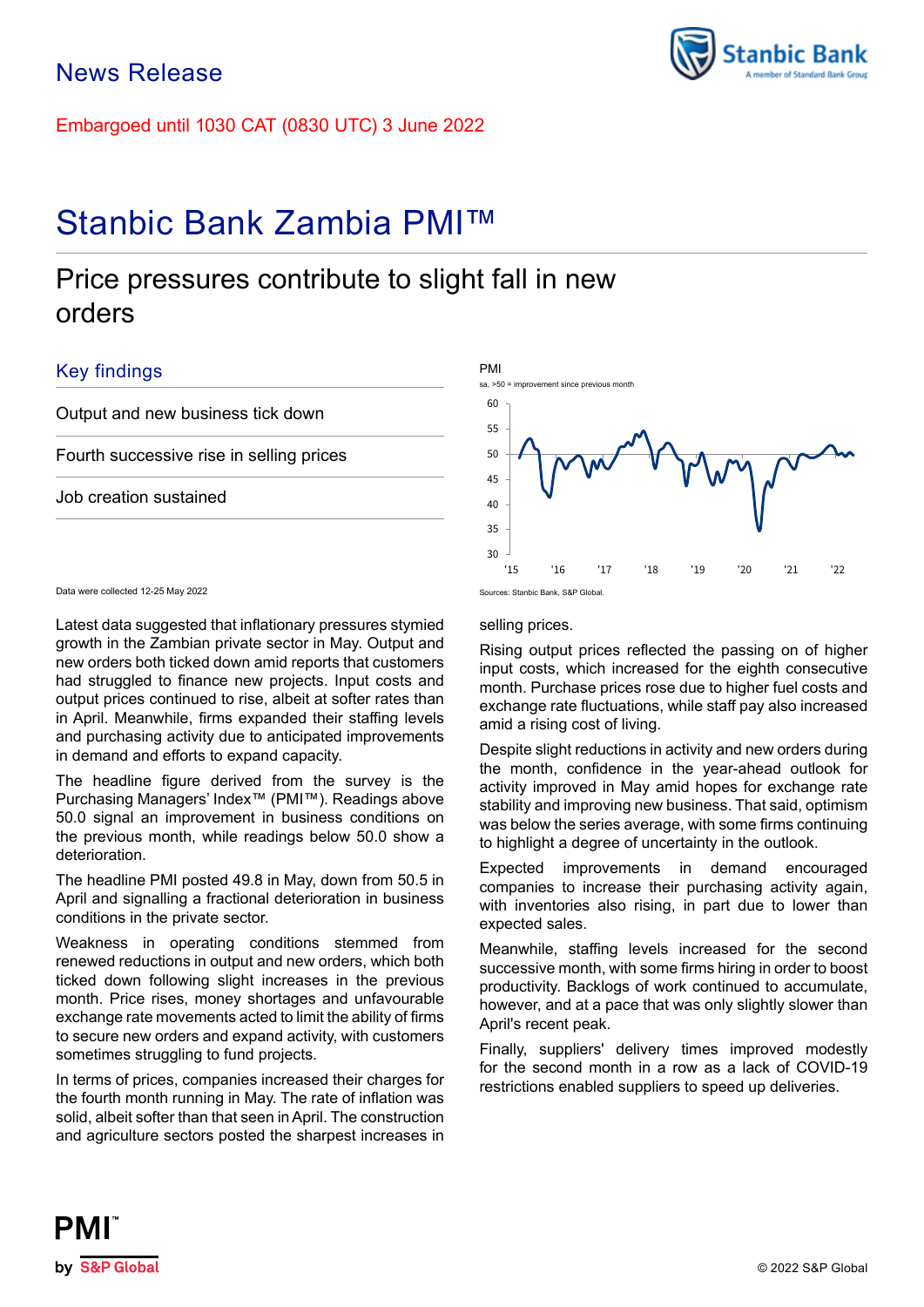Embargoed until 1030 CAT (0830 UTC) 3 June 2022

# Stanbic Bank Zambia PMI™

# Price pressures contribute to slight fall in new orders

# Key findings

Output and new business tick down

Fourth successive rise in selling prices

Job creation sustained

30 35 40 45 50 55

Data were collected 12-25 May 2022

Latest data suggested that inflationary pressures stymied growth in the Zambian private sector in May. Output and new orders both ticked down amid reports that customers had struggled to finance new projects. Input costs and output prices continued to rise, albeit at softer rates than in April. Meanwhile, firms expanded their staffing levels and purchasing activity due to anticipated improvements in demand and efforts to expand capacity.

The headline figure derived from the survey is the Purchasing Managers' Index™ (PMI™). Readings above 50.0 signal an improvement in business conditions on the previous month, while readings below 50.0 show a deterioration.

The headline PMI posted 49.8 in May, down from 50.5 in April and signalling a fractional deterioration in business conditions in the private sector.

Weakness in operating conditions stemmed from renewed reductions in output and new orders, which both ticked down following slight increases in the previous month. Price rises, money shortages and unfavourable exchange rate movements acted to limit the ability of firms to secure new orders and expand activity, with customers sometimes struggling to fund projects.

In terms of prices, companies increased their charges for the fourth month running in May. The rate of inflation was solid, albeit softer than that seen in April. The construction and agriculture sectors posted the sharpest increases in

## selling prices.

PMI

Rising output prices reflected the passing on of higher input costs, which increased for the eighth consecutive month. Purchase prices rose due to higher fuel costs and exchange rate fluctuations, while staff pay also increased amid a rising cost of living.

Despite slight reductions in activity and new orders during the month, confidence in the year-ahead outlook for activity improved in May amid hopes for exchange rate stability and improving new business. That said, optimism was below the series average, with some firms continuing to highlight a degree of uncertainty in the outlook.

Expected improvements in demand encouraged companies to increase their purchasing activity again, with inventories also rising, in part due to lower than expected sales.

Meanwhile, staffing levels increased for the second successive month, with some firms hiring in order to boost productivity. Backlogs of work continued to accumulate, however, and at a pace that was only slightly slower than April's recent peak.

Finally, suppliers' delivery times improved modestly for the second month in a row as a lack of COVID-19 restrictions enabled suppliers to speed up deliveries.